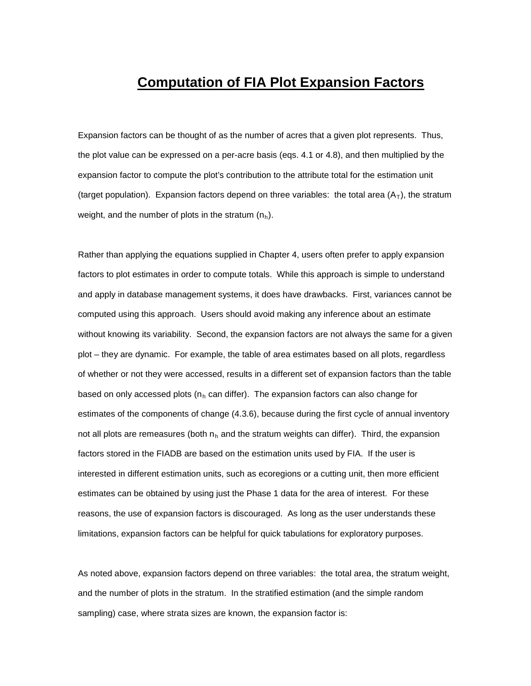## **Computation of FIA Plot Expansion Factors**

Expansion factors can be thought of as the number of acres that a given plot represents. Thus, the plot value can be expressed on a per-acre basis (eqs. 4.1 or 4.8), and then multiplied by the expansion factor to compute the plot's contribution to the attribute total for the estimation unit (target population). Expansion factors depend on three variables: the total area  $(A_T)$ , the stratum weight, and the number of plots in the stratum  $(n_h)$ .

Rather than applying the equations supplied in Chapter 4, users often prefer to apply expansion factors to plot estimates in order to compute totals. While this approach is simple to understand and apply in database management systems, it does have drawbacks. First, variances cannot be computed using this approach. Users should avoid making any inference about an estimate without knowing its variability. Second, the expansion factors are not always the same for a given plot – they are dynamic. For example, the table of area estimates based on all plots, regardless of whether or not they were accessed, results in a different set of expansion factors than the table based on only accessed plots ( $n_h$  can differ). The expansion factors can also change for estimates of the components of change (4.3.6), because during the first cycle of annual inventory not all plots are remeasures (both  $n_h$  and the stratum weights can differ). Third, the expansion factors stored in the FIADB are based on the estimation units used by FIA. If the user is interested in different estimation units, such as ecoregions or a cutting unit, then more efficient estimates can be obtained by using just the Phase 1 data for the area of interest. For these reasons, the use of expansion factors is discouraged. As long as the user understands these limitations, expansion factors can be helpful for quick tabulations for exploratory purposes.

As noted above, expansion factors depend on three variables: the total area, the stratum weight, and the number of plots in the stratum. In the stratified estimation (and the simple random sampling) case, where strata sizes are known, the expansion factor is: